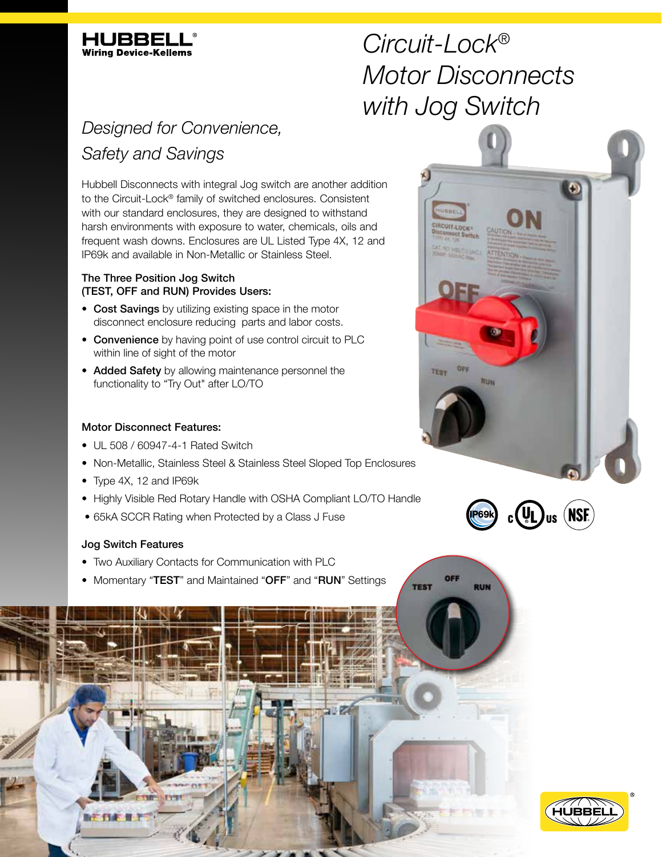

# *Circuit-Lock® Motor Disconnects with Jog Switch*

# *Designed for Convenience, Safety and Savings*

Hubbell Disconnects with integral Jog switch are another addition to the Circuit-Lock® family of switched enclosures. Consistent with our standard enclosures, they are designed to withstand harsh environments with exposure to water, chemicals, oils and frequent wash downs. Enclosures are UL Listed Type 4X, 12 and IP69k and available in Non-Metallic or Stainless Steel.

### The Three Position Jog Switch (TEST, OFF and RUN) Provides Users:

- Cost Savings by utilizing existing space in the motor disconnect enclosure reducing parts and labor costs.
- Convenience by having point of use control circuit to PLC within line of sight of the motor
- Added Safety by allowing maintenance personnel the functionality to "Try Out" after LO/TO

## Motor Disconnect Features:

- UL 508 / 60947-4-1 Rated Switch
- Non-Metallic, Stainless Steel & Stainless Steel Sloped Top Enclosures
- Type 4X, 12 and IP69k
- Highly Visible Red Rotary Handle with OSHA Compliant LO/TO Handle
- 65kA SCCR Rating when Protected by a Class J Fuse

### Jog Switch Features

- Two Auxiliary Contacts for Communication with PLC
- Momentary "TEST" and Maintained "OFF" and "RUN" Settings





OFF

**RUN** 

**TEST**